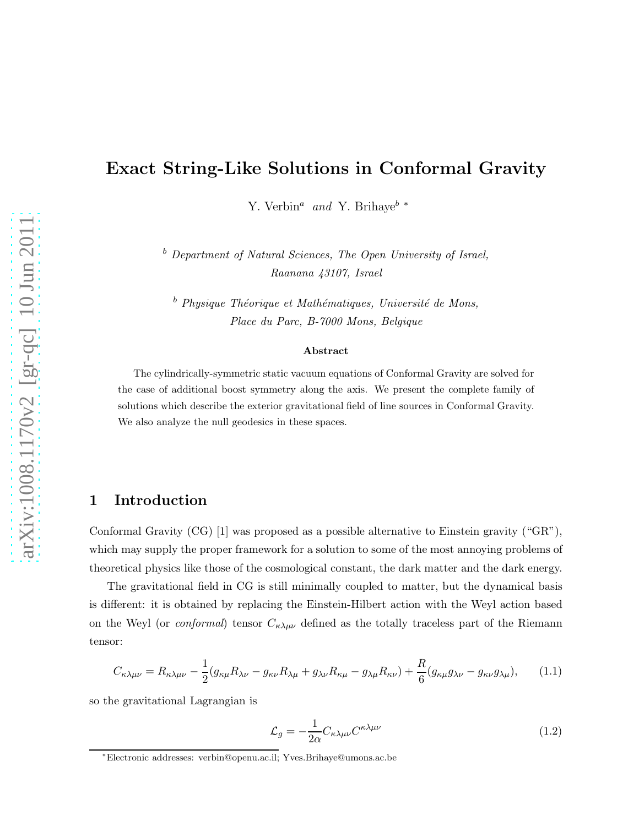# Exact String-Like Solutions in Conformal Gravity

Y. Verbin<sup>a</sup> and Y. Brihaye<sup>b \*</sup>

 $b$  Department of Natural Sciences, The Open University of Israel, Raanana 43107, Israel

 $b$  Physique Théorique et Mathématiques, Université de Mons, Place du Parc, B-7000 Mons, Belgique

#### Abstract

The cylindrically-symmetric static vacuum equations of Conformal Gravity are solved for the case of additional boost symmetry along the axis. We present the complete family of solutions which describe the exterior gravitational field of line sources in Conformal Gravity. We also analyze the null geodesics in these spaces.

#### 1 Introduction

Conformal Gravity (CG) [1] was proposed as a possible alternative to Einstein gravity ("GR"), which may supply the proper framework for a solution to some of the most annoying problems of theoretical physics like those of the cosmological constant, the dark matter and the dark energy.

The gravitational field in CG is still minimally coupled to matter, but the dynamical basis is different: it is obtained by replacing the Einstein-Hilbert action with the Weyl action based on the Weyl (or *conformal*) tensor  $C_{\kappa\lambda\mu\nu}$  defined as the totally traceless part of the Riemann tensor:

$$
C_{\kappa\lambda\mu\nu} = R_{\kappa\lambda\mu\nu} - \frac{1}{2}(g_{\kappa\mu}R_{\lambda\nu} - g_{\kappa\nu}R_{\lambda\mu} + g_{\lambda\nu}R_{\kappa\mu} - g_{\lambda\mu}R_{\kappa\nu}) + \frac{R}{6}(g_{\kappa\mu}g_{\lambda\nu} - g_{\kappa\nu}g_{\lambda\mu}),
$$
 (1.1)

so the gravitational Lagrangian is

$$
\mathcal{L}_g = -\frac{1}{2\alpha} C_{\kappa\lambda\mu\nu} C^{\kappa\lambda\mu\nu} \tag{1.2}
$$

<sup>∗</sup>Electronic addresses: verbin@openu.ac.il; Yves.Brihaye@umons.ac.be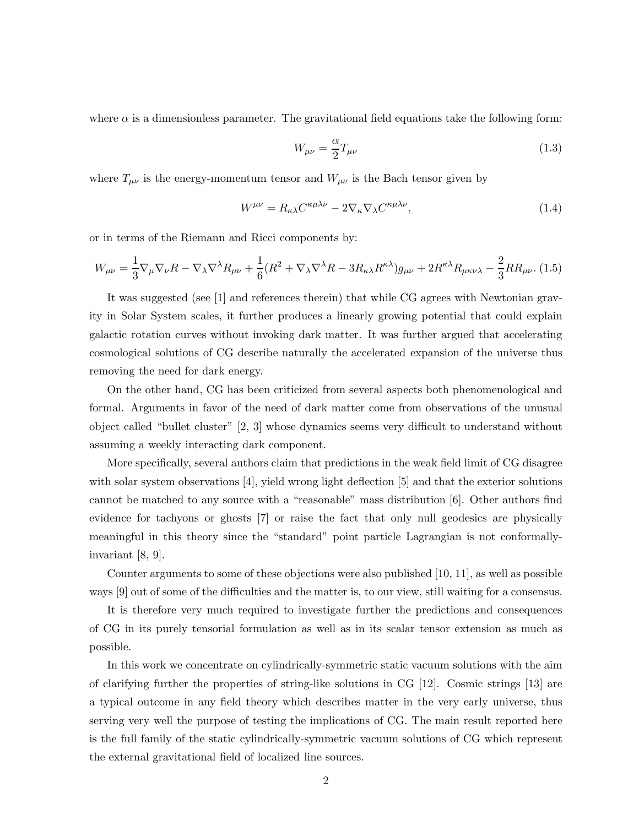where  $\alpha$  is a dimensionless parameter. The gravitational field equations take the following form:

$$
W_{\mu\nu} = \frac{\alpha}{2} T_{\mu\nu} \tag{1.3}
$$

where  $T_{\mu\nu}$  is the energy-momentum tensor and  $W_{\mu\nu}$  is the Bach tensor given by

$$
W^{\mu\nu} = R_{\kappa\lambda} C^{\kappa\mu\lambda\nu} - 2\nabla_{\kappa} \nabla_{\lambda} C^{\kappa\mu\lambda\nu},\tag{1.4}
$$

or in terms of the Riemann and Ricci components by:

$$
W_{\mu\nu} = \frac{1}{3} \nabla_{\mu} \nabla_{\nu} R - \nabla_{\lambda} \nabla^{\lambda} R_{\mu\nu} + \frac{1}{6} (R^2 + \nabla_{\lambda} \nabla^{\lambda} R - 3R_{\kappa\lambda} R^{\kappa\lambda}) g_{\mu\nu} + 2R^{\kappa\lambda} R_{\mu\kappa\nu\lambda} - \frac{2}{3} R R_{\mu\nu}.
$$
 (1.5)

It was suggested (see [1] and references therein) that while CG agrees with Newtonian gravity in Solar System scales, it further produces a linearly growing potential that could explain galactic rotation curves without invoking dark matter. It was further argued that accelerating cosmological solutions of CG describe naturally the accelerated expansion of the universe thus removing the need for dark energy.

On the other hand, CG has been criticized from several aspects both phenomenological and formal. Arguments in favor of the need of dark matter come from observations of the unusual object called "bullet cluster" [2, 3] whose dynamics seems very difficult to understand without assuming a weekly interacting dark component.

More specifically, several authors claim that predictions in the weak field limit of CG disagree with solar system observations [4], yield wrong light deflection [5] and that the exterior solutions cannot be matched to any source with a "reasonable" mass distribution [6]. Other authors find evidence for tachyons or ghosts [7] or raise the fact that only null geodesics are physically meaningful in this theory since the "standard" point particle Lagrangian is not conformallyinvariant [8, 9].

Counter arguments to some of these objections were also published [10, 11], as well as possible ways [9] out of some of the difficulties and the matter is, to our view, still waiting for a consensus.

It is therefore very much required to investigate further the predictions and consequences of CG in its purely tensorial formulation as well as in its scalar tensor extension as much as possible.

In this work we concentrate on cylindrically-symmetric static vacuum solutions with the aim of clarifying further the properties of string-like solutions in CG  $[12]$ . Cosmic strings  $[13]$  are a typical outcome in any field theory which describes matter in the very early universe, thus serving very well the purpose of testing the implications of CG. The main result reported here is the full family of the static cylindrically-symmetric vacuum solutions of CG which represent the external gravitational field of localized line sources.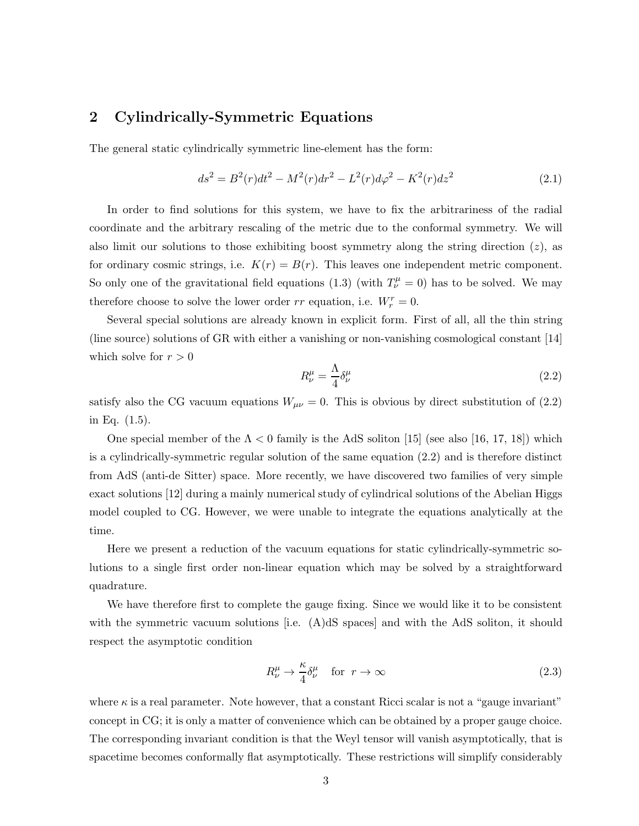### 2 Cylindrically-Symmetric Equations

The general static cylindrically symmetric line-element has the form:

$$
ds^{2} = B^{2}(r)dt^{2} - M^{2}(r)dr^{2} - L^{2}(r)d\varphi^{2} - K^{2}(r)dz^{2}
$$
\n(2.1)

In order to find solutions for this system, we have to fix the arbitrariness of the radial coordinate and the arbitrary rescaling of the metric due to the conformal symmetry. We will also limit our solutions to those exhibiting boost symmetry along the string direction  $(z)$ , as for ordinary cosmic strings, i.e.  $K(r) = B(r)$ . This leaves one independent metric component. So only one of the gravitational field equations (1.3) (with  $T^{\mu}_{\nu} = 0$ ) has to be solved. We may therefore choose to solve the lower order  $rr$  equation, i.e.  $W_r^r = 0$ .

Several special solutions are already known in explicit form. First of all, all the thin string (line source) solutions of GR with either a vanishing or non-vanishing cosmological constant [14] which solve for  $r > 0$ 

$$
R^{\mu}_{\nu} = \frac{\Lambda}{4} \delta^{\mu}_{\nu} \tag{2.2}
$$

satisfy also the CG vacuum equations  $W_{\mu\nu} = 0$ . This is obvious by direct substitution of (2.2) in Eq. (1.5).

One special member of the  $\Lambda < 0$  family is the AdS soliton [15] (see also [16, 17, 18]) which is a cylindrically-symmetric regular solution of the same equation (2.2) and is therefore distinct from AdS (anti-de Sitter) space. More recently, we have discovered two families of very simple exact solutions [12] during a mainly numerical study of cylindrical solutions of the Abelian Higgs model coupled to CG. However, we were unable to integrate the equations analytically at the time.

Here we present a reduction of the vacuum equations for static cylindrically-symmetric solutions to a single first order non-linear equation which may be solved by a straightforward quadrature.

We have therefore first to complete the gauge fixing. Since we would like it to be consistent with the symmetric vacuum solutions [i.e. (A)dS spaces] and with the AdS soliton, it should respect the asymptotic condition

$$
R^{\mu}_{\nu} \to \frac{\kappa}{4} \delta^{\mu}_{\nu} \quad \text{for } r \to \infty \tag{2.3}
$$

where  $\kappa$  is a real parameter. Note however, that a constant Ricci scalar is not a "gauge invariant" concept in CG; it is only a matter of convenience which can be obtained by a proper gauge choice. The corresponding invariant condition is that the Weyl tensor will vanish asymptotically, that is spacetime becomes conformally flat asymptotically. These restrictions will simplify considerably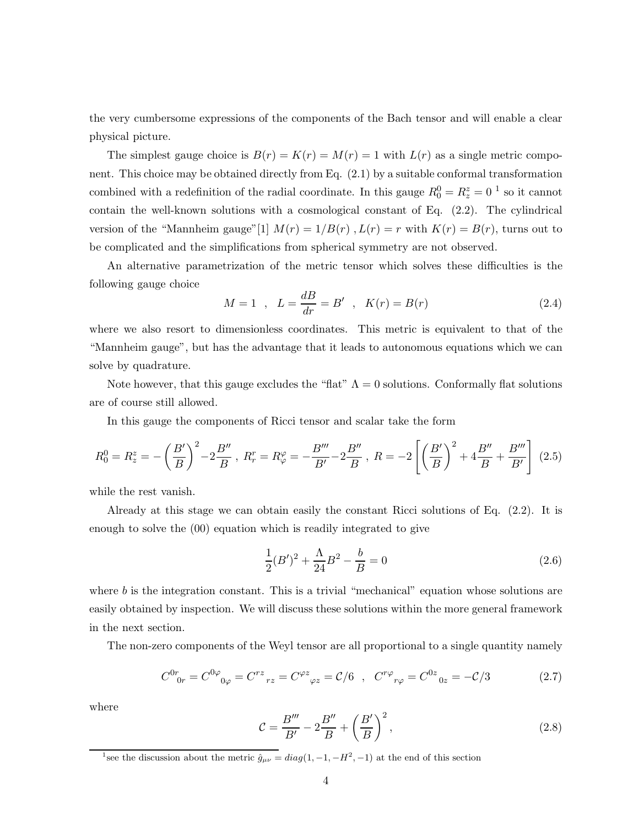the very cumbersome expressions of the components of the Bach tensor and will enable a clear physical picture.

The simplest gauge choice is  $B(r) = K(r) = M(r) = 1$  with  $L(r)$  as a single metric component. This choice may be obtained directly from Eq. (2.1) by a suitable conformal transformation combined with a redefinition of the radial coordinate. In this gauge  $R_0^0 = R_z^z = 0^{-1}$  so it cannot contain the well-known solutions with a cosmological constant of Eq. (2.2). The cylindrical version of the "Mannheim gauge"[1]  $M(r) = 1/B(r)$ ,  $L(r) = r$  with  $K(r) = B(r)$ , turns out to be complicated and the simplifications from spherical symmetry are not observed.

An alternative parametrization of the metric tensor which solves these difficulties is the following gauge choice

$$
M = 1 \, , \, L = \frac{dB}{dr} = B' \, , \, K(r) = B(r) \tag{2.4}
$$

where we also resort to dimensionless coordinates. This metric is equivalent to that of the "Mannheim gauge", but has the advantage that it leads to autonomous equations which we can solve by quadrature.

Note however, that this gauge excludes the "flat"  $\Lambda = 0$  solutions. Conformally flat solutions are of course still allowed.

In this gauge the components of Ricci tensor and scalar take the form

$$
R_0^0 = R_z^z = -\left(\frac{B'}{B}\right)^2 - 2\frac{B''}{B}, \ R_r^r = R_\varphi^\varphi = -\frac{B'''}{B'} - 2\frac{B''}{B}, \ R = -2\left[\left(\frac{B'}{B}\right)^2 + 4\frac{B''}{B} + \frac{B'''}{B'}\right] \tag{2.5}
$$

while the rest vanish.

Already at this stage we can obtain easily the constant Ricci solutions of Eq. (2.2). It is enough to solve the (00) equation which is readily integrated to give

$$
\frac{1}{2}(B')^2 + \frac{\Lambda}{24}B^2 - \frac{b}{B} = 0\tag{2.6}
$$

where  $b$  is the integration constant. This is a trivial "mechanical" equation whose solutions are easily obtained by inspection. We will discuss these solutions within the more general framework in the next section.

The non-zero components of the Weyl tensor are all proportional to a single quantity namely

$$
C^{0r}_{0r} = C^{0\varphi}_{0\varphi} = C^{rz}_{rz} = C^{\varphi z}_{\varphi z} = C/6 \ , \ C^{r\varphi}_{r\varphi} = C^{0z}_{0z} = -C/3 \tag{2.7}
$$

where

$$
\mathcal{C} = \frac{B'''}{B'} - 2\frac{B''}{B} + \left(\frac{B'}{B}\right)^2,\tag{2.8}
$$

<sup>&</sup>lt;sup>1</sup>see the discussion about the metric  $\hat{g}_{\mu\nu} = diag(1, -1, -H^2, -1)$  at the end of this section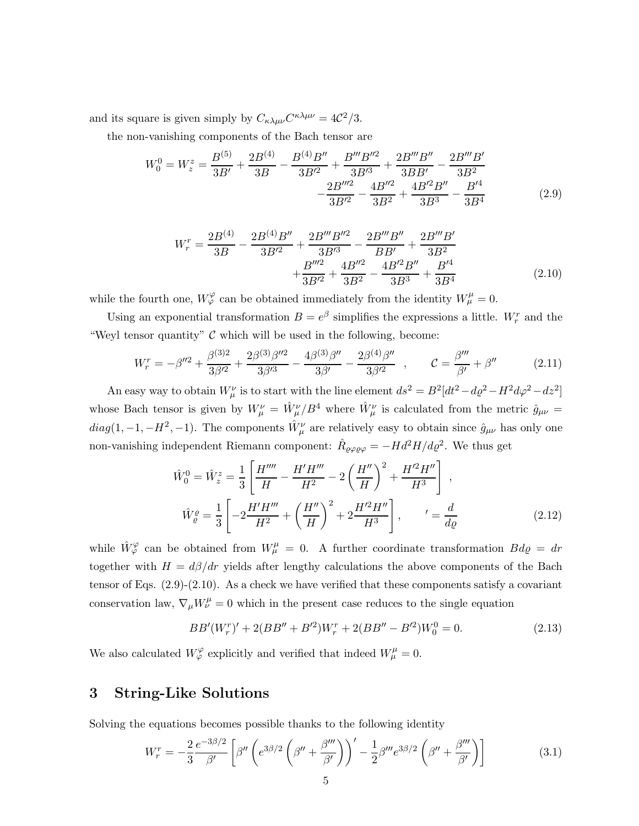and its square is given simply by  $C_{\kappa\lambda\mu\nu}C^{\kappa\lambda\mu\nu} = 4\mathcal{C}^2/3$ .

the non-vanishing components of the Bach tensor are

$$
W_0^0 = W_z^z = \frac{B^{(5)}}{3B'} + \frac{2B^{(4)}}{3B} - \frac{B^{(4)}B''}{3B'^2} + \frac{B'''B''^2}{3B'^3} + \frac{2B'''B''}{3BB'} - \frac{2B''''B''}{3B^2} - \frac{2B'''B''}{3B^2} - \frac{4B''^2}{3B^2} + \frac{4B'^2B''}{3B^3} - \frac{B'^4}{3B^4}
$$
(2.9)

$$
W_r^r = \frac{2B^{(4)}}{3B} - \frac{2B^{(4)}B''}{3B'^2} + \frac{2B'''B''^2}{3B'^3} - \frac{2B''''B''}{BB'} + \frac{2B''''B'}{3B^2} + \frac{B'''^2}{3B'^2} + \frac{4B''^2}{3B^2} - \frac{4B'^2B''}{3B^3} + \frac{B'^4}{3B^4}
$$
(2.10)

while the fourth one,  $W_{\varphi}^{\varphi}$  can be obtained immediately from the identity  $W_{\mu}^{\mu} = 0$ .

Using an exponential transformation  $B = e^{\beta}$  simplifies the expressions a little.  $W_r^r$  and the "Weyl tensor quantity"  $\mathcal C$  which will be used in the following, become:

$$
W_r^r = -\beta''^2 + \frac{\beta^{(3)2}}{3\beta'^2} + \frac{2\beta^{(3)}\beta''^2}{3\beta'^3} - \frac{4\beta^{(3)}\beta''}{3\beta'} - \frac{2\beta^{(4)}\beta''}{3\beta'^2} , \qquad \mathcal{C} = \frac{\beta'''}{\beta'} + \beta''
$$
 (2.11)

An easy way to obtain  $W^{\nu}_{\mu}$  is to start with the line element  $ds^2 = B^2[dt^2 - d\varrho^2 - H^2d\varphi^2 - dz^2]$ whose Bach tensor is given by  $W^{\nu}_{\mu} = \hat{W}^{\nu}_{\mu}/B^4$  where  $\hat{W}^{\nu}_{\mu}$  is calculated from the metric  $\hat{g}_{\mu\nu} =$  $diag(1, -1, -H^2, -1)$ . The components  $\hat{W}^{\nu}_{\mu}$  are relatively easy to obtain since  $\hat{g}_{\mu\nu}$  has only one non-vanishing independent Riemann component:  $\hat{R}_{\varrho\varphi\varrho\varphi} = -Hd^2H/d\varrho^2$ . We thus get

$$
\hat{W}_0^0 = \hat{W}_z^z = \frac{1}{3} \left[ \frac{H''''}{H} - \frac{H'H'''}{H^2} - 2\left(\frac{H''}{H}\right)^2 + \frac{H'^2H''}{H^3} \right] ,
$$
\n
$$
\hat{W}_\varrho^{\varrho} = \frac{1}{3} \left[ -2\frac{H'H'''}{H^2} + \left(\frac{H''}{H}\right)^2 + 2\frac{H'^2H''}{H^3} \right] , \qquad \qquad' = \frac{d}{d\varrho}
$$
\n(2.12)

while  $\hat{W}_{\varphi}^{\varphi}$  can be obtained from  $W_{\mu}^{\mu} = 0$ . A further coordinate transformation  $Bd\varrho = dr$ together with  $H = d\beta/dr$  yields after lengthy calculations the above components of the Bach tensor of Eqs. (2.9)-(2.10). As a check we have verified that these components satisfy a covariant conservation law,  $\nabla_{\mu}W^{\mu}_{\nu}=0$  which in the present case reduces to the single equation

$$
BB'(W_r^r)' + 2(BB'' + B'^2)W_r^r + 2(BB'' - B'^2)W_0^0 = 0.
$$
\n(2.13)

We also calculated  $W_{\varphi}^{\varphi}$  explicitly and verified that indeed  $W_{\mu}^{\mu} = 0$ .

### 3 String-Like Solutions

Solving the equations becomes possible thanks to the following identity

$$
W_r^r = -\frac{2}{3} \frac{e^{-3\beta/2}}{\beta'} \left[ \beta'' \left( e^{3\beta/2} \left( \beta'' + \frac{\beta'''}{\beta'} \right) \right)' - \frac{1}{2} \beta''' e^{3\beta/2} \left( \beta'' + \frac{\beta'''}{\beta'} \right) \right]
$$
(3.1)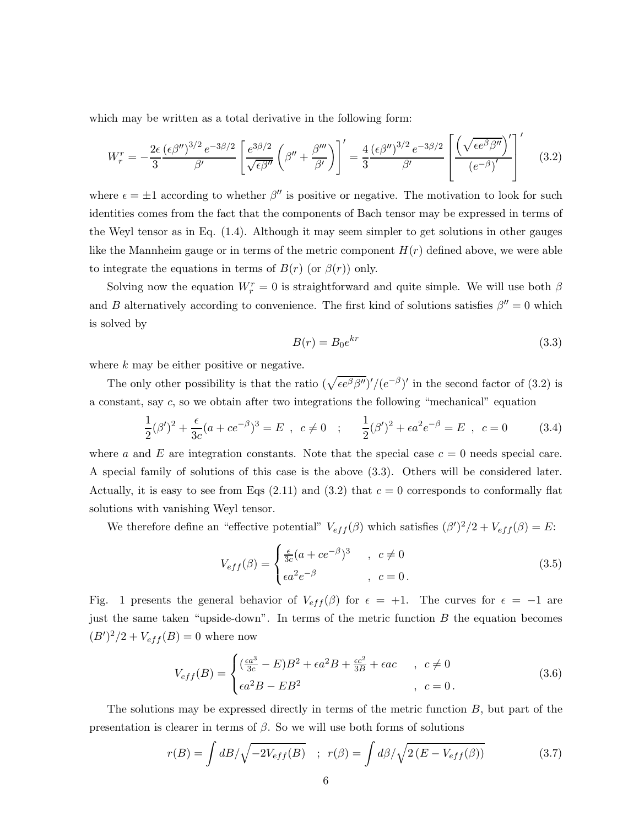which may be written as a total derivative in the following form:

$$
W_r^r = -\frac{2\epsilon}{3} \frac{(\epsilon \beta'')^{3/2} e^{-3\beta/2}}{\beta'} \left[ \frac{e^{3\beta/2}}{\sqrt{\epsilon \beta''}} \left( \beta'' + \frac{\beta'''}{\beta'} \right) \right]' = \frac{4}{3} \frac{(\epsilon \beta'')^{3/2} e^{-3\beta/2}}{\beta'} \left[ \frac{\left( \sqrt{\epsilon e^{\beta} \beta''} \right)'}{(\epsilon^{-\beta})'} \right]'
$$
(3.2)

where  $\epsilon = \pm 1$  according to whether  $\beta''$  is positive or negative. The motivation to look for such identities comes from the fact that the components of Bach tensor may be expressed in terms of the Weyl tensor as in Eq. (1.4). Although it may seem simpler to get solutions in other gauges like the Mannheim gauge or in terms of the metric component  $H(r)$  defined above, we were able to integrate the equations in terms of  $B(r)$  (or  $\beta(r)$ ) only.

Solving now the equation  $W_r^r = 0$  is straightforward and quite simple. We will use both  $\beta$ and B alternatively according to convenience. The first kind of solutions satisfies  $\beta'' = 0$  which is solved by

$$
B(r) = B_0 e^{kr} \tag{3.3}
$$

where k may be either positive or negative.

The only other possibility is that the ratio  $(\sqrt{\epsilon e^{\beta} \beta''})' / (e^{-\beta})'$  in the second factor of (3.2) is a constant, say  $c$ , so we obtain after two integrations the following "mechanical" equation

$$
\frac{1}{2}(\beta')^2 + \frac{\epsilon}{3c}(a + ce^{-\beta})^3 = E \ , \ c \neq 0 \ ; \quad \frac{1}{2}(\beta')^2 + \epsilon a^2 e^{-\beta} = E \ , \ c = 0 \tag{3.4}
$$

where a and E are integration constants. Note that the special case  $c = 0$  needs special care. A special family of solutions of this case is the above (3.3). Others will be considered later. Actually, it is easy to see from Eqs  $(2.11)$  and  $(3.2)$  that  $c = 0$  corresponds to conformally flat solutions with vanishing Weyl tensor.

We therefore define an "effective potential"  $V_{eff}(\beta)$  which satisfies  $(\beta')^2/2 + V_{eff}(\beta) = E$ :

$$
V_{eff}(\beta) = \begin{cases} \frac{\epsilon}{3c}(a + ce^{-\beta})^3 & , c \neq 0\\ \epsilon a^2 e^{-\beta} & , c = 0. \end{cases}
$$
 (3.5)

Fig. 1 presents the general behavior of  $V_{eff}(\beta)$  for  $\epsilon = +1$ . The curves for  $\epsilon = -1$  are just the same taken "upside-down". In terms of the metric function  $B$  the equation becomes  $(B')^{2}/2 + V_{eff}(B) = 0$  where now

$$
V_{eff}(B) = \begin{cases} \left(\frac{\epsilon a^3}{3c} - E\right)B^2 + \epsilon a^2 B + \frac{\epsilon c^2}{3B} + \epsilon ac & , c \neq 0\\ \epsilon a^2 B - E B^2 & , c = 0. \end{cases}
$$
(3.6)

The solutions may be expressed directly in terms of the metric function B, but part of the presentation is clearer in terms of  $\beta$ . So we will use both forms of solutions

$$
r(B) = \int dB / \sqrt{-2V_{eff}(B)} \quad ; \quad r(\beta) = \int d\beta / \sqrt{2(E - V_{eff}(\beta))}
$$
(3.7)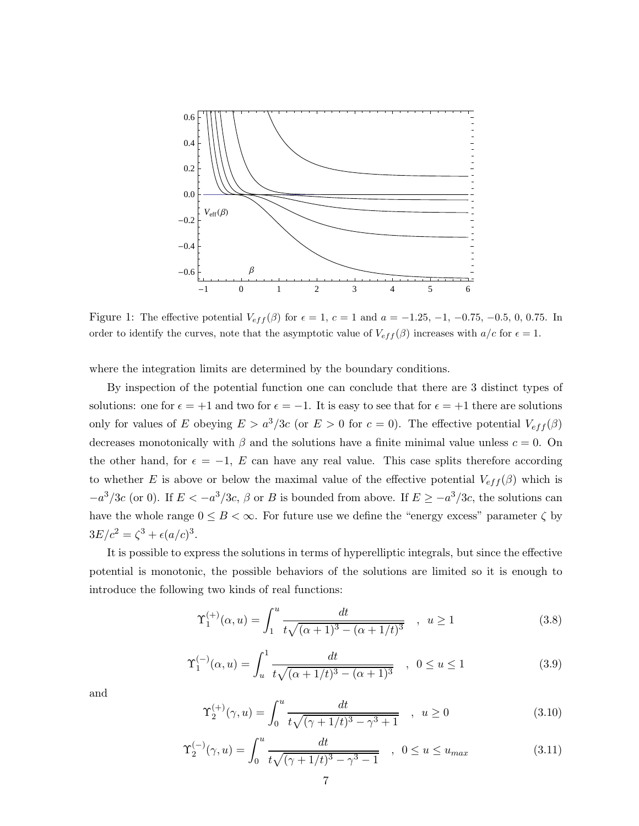

Figure 1: The effective potential  $V_{eff}(\beta)$  for  $\epsilon = 1, c = 1$  and  $a = -1.25, -1, -0.75, -0.5, 0, 0.75$ . In order to identify the curves, note that the asymptotic value of  $V_{eff}(\beta)$  increases with  $a/c$  for  $\epsilon = 1$ .

where the integration limits are determined by the boundary conditions.

By inspection of the potential function one can conclude that there are 3 distinct types of solutions: one for  $\epsilon = +1$  and two for  $\epsilon = -1$ . It is easy to see that for  $\epsilon = +1$  there are solutions only for values of E obeying  $E > a^3/3c$  (or  $E > 0$  for  $c = 0$ ). The effective potential  $V_{eff}(\beta)$ decreases monotonically with  $\beta$  and the solutions have a finite minimal value unless  $c = 0$ . On the other hand, for  $\epsilon = -1$ , E can have any real value. This case splits therefore according to whether E is above or below the maximal value of the effective potential  $V_{eff}(\beta)$  which is  $-a^3/3c$  (or 0). If  $E < -a^3/3c$ ,  $\beta$  or B is bounded from above. If  $E \ge -a^3/3c$ , the solutions can have the whole range  $0 \leq B < \infty$ . For future use we define the "energy excess" parameter  $\zeta$  by  $3E/c^2 = \zeta^3 + \epsilon (a/c)^3$ .

It is possible to express the solutions in terms of hyperelliptic integrals, but since the effective potential is monotonic, the possible behaviors of the solutions are limited so it is enough to introduce the following two kinds of real functions:

$$
\Upsilon_1^{(+)}(\alpha, u) = \int_1^u \frac{dt}{t\sqrt{(\alpha+1)^3 - (\alpha+1/t)^3}}, \quad u \ge 1
$$
\n(3.8)

$$
\Upsilon_1^{(-)}(\alpha, u) = \int_u^1 \frac{dt}{t\sqrt{(\alpha + 1/t)^3 - (\alpha + 1)^3}} \quad , \quad 0 \le u \le 1 \tag{3.9}
$$

and

$$
\Upsilon_2^{(+)}(\gamma, u) = \int_0^u \frac{dt}{t\sqrt{(\gamma + 1/t)^3 - \gamma^3 + 1}} \quad , \ u \ge 0 \tag{3.10}
$$

$$
\Upsilon_2^{(-)}(\gamma, u) = \int_0^u \frac{dt}{t\sqrt{(\gamma + 1/t)^3 - \gamma^3 - 1}} \quad , \quad 0 \le u \le u_{max} \tag{3.11}
$$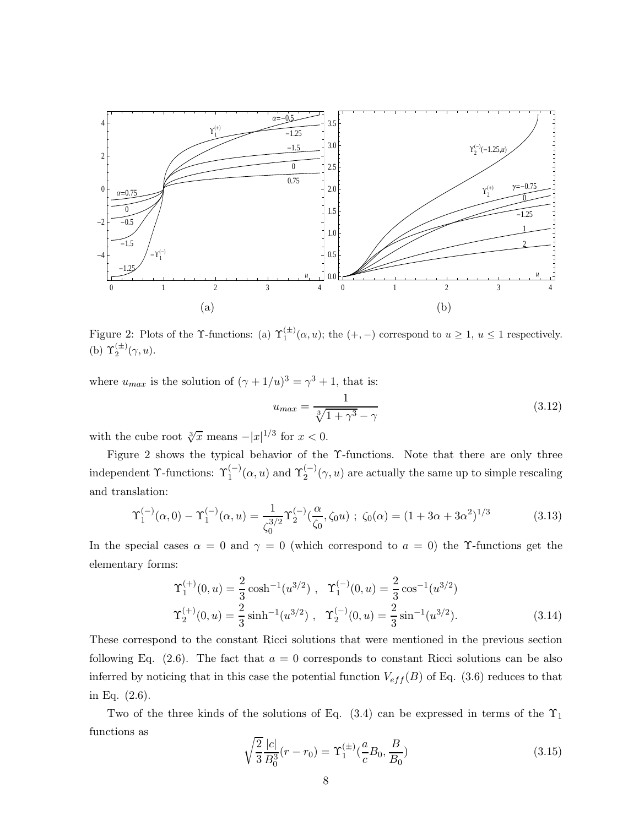

Figure 2: Plots of the  $\Upsilon$ -functions: (a)  $\Upsilon_1^{(\pm)}(\alpha, u)$ ; the  $(+, -)$  correspond to  $u \geq 1$ ,  $u \leq 1$  respectively. (b)  $\Upsilon_2^{(\pm)}(\gamma, u)$ .

where  $u_{max}$  is the solution of  $(\gamma + 1/u)^3 = \gamma^3 + 1$ , that is:

$$
u_{max} = \frac{1}{\sqrt[3]{1 + \gamma^3} - \gamma} \tag{3.12}
$$

with the cube root  $\sqrt[3]{x}$  means  $-|x|^{1/3}$  for  $x < 0$ .

Figure 2 shows the typical behavior of the Υ-functions. Note that there are only three independent  $\Upsilon$ -functions:  $\Upsilon_1^{(-)}(\alpha, u)$  and  $\Upsilon_2^{(-)}(\gamma, u)$  are actually the same up to simple rescaling and translation:

$$
\Upsilon_1^{(-)}(\alpha,0) - \Upsilon_1^{(-)}(\alpha,u) = \frac{1}{\zeta_0^{3/2}} \Upsilon_2^{(-)}(\frac{\alpha}{\zeta_0},\zeta_0 u) ; \ \zeta_0(\alpha) = (1 + 3\alpha + 3\alpha^2)^{1/3}
$$
(3.13)

In the special cases  $\alpha = 0$  and  $\gamma = 0$  (which correspond to  $a = 0$ ) the Y-functions get the elementary forms:

$$
\begin{aligned}\n\Upsilon_1^{(+)}(0, u) &= \frac{2}{3} \cosh^{-1}(u^{3/2}), \quad \Upsilon_1^{(-)}(0, u) = \frac{2}{3} \cos^{-1}(u^{3/2}) \\
\Upsilon_2^{(+)}(0, u) &= \frac{2}{3} \sinh^{-1}(u^{3/2}), \quad \Upsilon_2^{(-)}(0, u) = \frac{2}{3} \sin^{-1}(u^{3/2}).\n\end{aligned} \tag{3.14}
$$

These correspond to the constant Ricci solutions that were mentioned in the previous section following Eq.  $(2.6)$ . The fact that  $a = 0$  corresponds to constant Ricci solutions can be also inferred by noticing that in this case the potential function  $V_{eff}(B)$  of Eq. (3.6) reduces to that in Eq. (2.6).

Two of the three kinds of the solutions of Eq.  $(3.4)$  can be expressed in terms of the  $\Upsilon_1$ functions as

$$
\sqrt{\frac{2}{3}} \frac{|c|}{B_0^3} (r - r_0) = \Upsilon_1^{(\pm)} \left(\frac{a}{c} B_0, \frac{B}{B_0}\right) \tag{3.15}
$$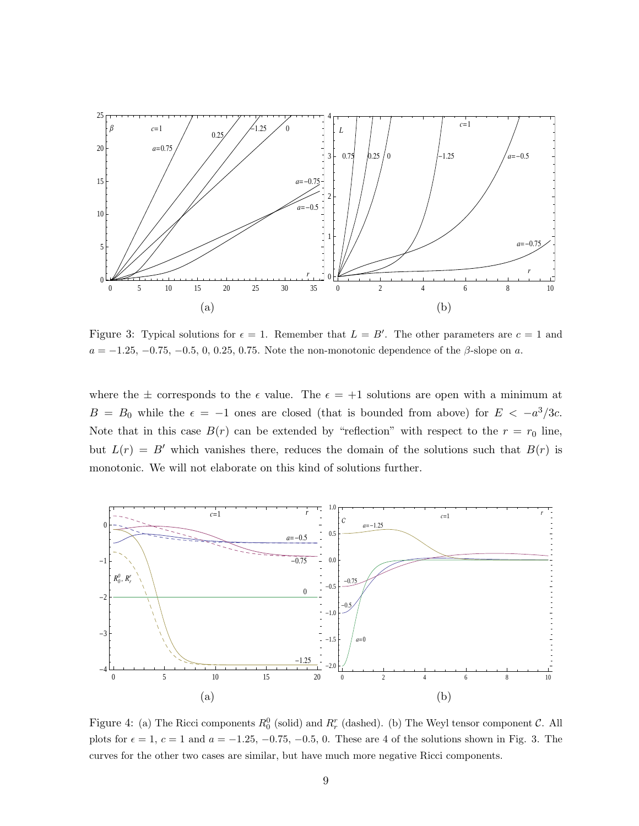

Figure 3: Typical solutions for  $\epsilon = 1$ . Remember that  $L = B'$ . The other parameters are  $c = 1$  and  $a = -1.25, -0.75, -0.5, 0, 0.25, 0.75.$  Note the non-monotonic dependence of the  $\beta$ -slope on a.

where the  $\pm$  corresponds to the  $\epsilon$  value. The  $\epsilon = +1$  solutions are open with a minimum at  $B = B_0$  while the  $\epsilon = -1$  ones are closed (that is bounded from above) for  $E < -a^3/3c$ . Note that in this case  $B(r)$  can be extended by "reflection" with respect to the  $r = r_0$  line, but  $L(r) = B'$  which vanishes there, reduces the domain of the solutions such that  $B(r)$  is monotonic. We will not elaborate on this kind of solutions further.



Figure 4: (a) The Ricci components  $R_0^0$  (solid) and  $R_r^r$  (dashed). (b) The Weyl tensor component  $C$ . All plots for  $\epsilon = 1$ ,  $c = 1$  and  $a = -1.25, -0.75, -0.5, 0$ . These are 4 of the solutions shown in Fig. 3. The curves for the other two cases are similar, but have much more negative Ricci components.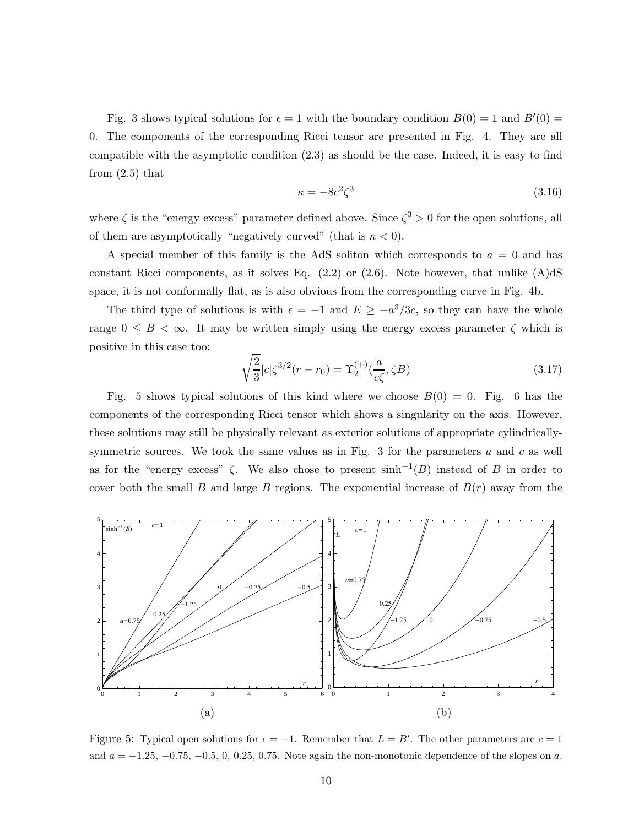Fig. 3 shows typical solutions for  $\epsilon = 1$  with the boundary condition  $B(0) = 1$  and  $B'(0) = 1$ 0. The components of the corresponding Ricci tensor are presented in Fig. 4. They are all compatible with the asymptotic condition (2.3) as should be the case. Indeed, it is easy to find from (2.5) that

$$
\kappa = -8c^2 \zeta^3 \tag{3.16}
$$

where  $\zeta$  is the "energy excess" parameter defined above. Since  $\zeta^3 > 0$  for the open solutions, all of them are asymptotically "negatively curved" (that is  $\kappa < 0$ ).

A special member of this family is the AdS soliton which corresponds to  $a = 0$  and has constant Ricci components, as it solves Eq.  $(2.2)$  or  $(2.6)$ . Note however, that unlike  $(A)dS$ space, it is not conformally flat, as is also obvious from the corresponding curve in Fig. 4b.

The third type of solutions is with  $\epsilon = -1$  and  $E \ge -a^3/3c$ , so they can have the whole range  $0 \leq B < \infty$ . It may be written simply using the energy excess parameter  $\zeta$  which is positive in this case too:

$$
\sqrt{\frac{2}{3}}|c|\zeta^{3/2}(r-r_0) = \Upsilon_2^{(+)}(\frac{a}{c\zeta}, \zeta B)
$$
\n(3.17)

Fig. 5 shows typical solutions of this kind where we choose  $B(0) = 0$ . Fig. 6 has the components of the corresponding Ricci tensor which shows a singularity on the axis. However, these solutions may still be physically relevant as exterior solutions of appropriate cylindricallysymmetric sources. We took the same values as in Fig. 3 for the parameters  $a$  and  $c$  as well as for the "energy excess"  $\zeta$ . We also chose to present  $\sinh^{-1}(B)$  instead of B in order to cover both the small B and large B regions. The exponential increase of  $B(r)$  away from the



Figure 5: Typical open solutions for  $\epsilon = -1$ . Remember that  $L = B'$ . The other parameters are  $c = 1$ and  $a = -1.25, -0.75, -0.5, 0, 0.25, 0.75$ . Note again the non-monotonic dependence of the slopes on a.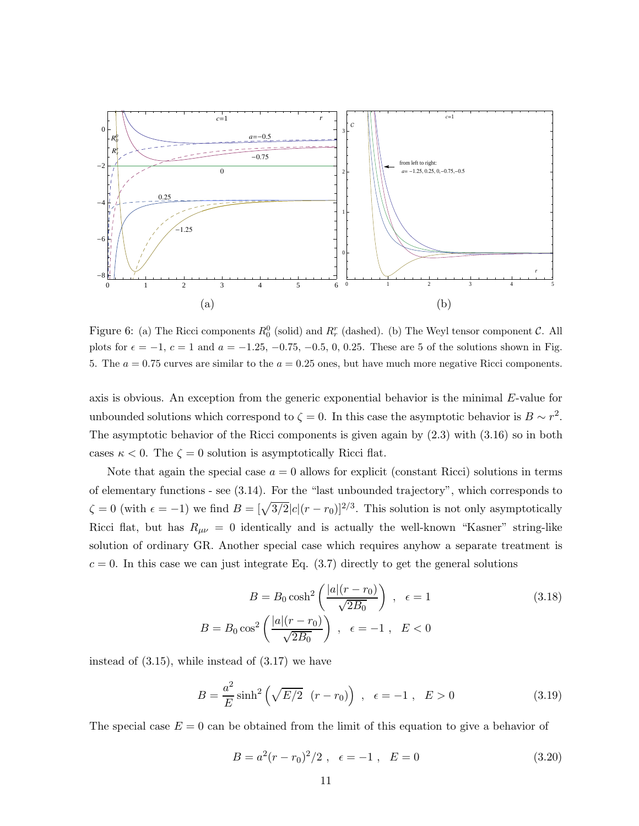

Figure 6: (a) The Ricci components  $R_0^0$  (solid) and  $R_r^r$  (dashed). (b) The Weyl tensor component  $C$ . All plots for  $\epsilon = -1$ ,  $c = 1$  and  $a = -1.25, -0.75, -0.5, 0, 0.25$ . These are 5 of the solutions shown in Fig. 5. The  $a = 0.75$  curves are similar to the  $a = 0.25$  ones, but have much more negative Ricci components.

axis is obvious. An exception from the generic exponential behavior is the minimal E-value for unbounded solutions which correspond to  $\zeta = 0$ . In this case the asymptotic behavior is  $B \sim r^2$ . The asymptotic behavior of the Ricci components is given again by (2.3) with (3.16) so in both cases  $\kappa < 0$ . The  $\zeta = 0$  solution is asymptotically Ricci flat.

Note that again the special case  $a = 0$  allows for explicit (constant Ricci) solutions in terms of elementary functions - see (3.14). For the "last unbounded trajectory", which corresponds to  $\zeta = 0$  (with  $\epsilon = -1$ ) we find  $B = [\sqrt{3/2}|c|(r - r_0)]^{2/3}$ . This solution is not only asymptotically Ricci flat, but has  $R_{\mu\nu} = 0$  identically and is actually the well-known "Kasner" string-like solution of ordinary GR. Another special case which requires anyhow a separate treatment is  $c = 0$ . In this case we can just integrate Eq. (3.7) directly to get the general solutions

$$
B = B_0 \cosh^2\left(\frac{|a|(r - r_0)}{\sqrt{2B_0}}\right), \quad \epsilon = 1
$$
\n
$$
B = B_0 \cos^2\left(\frac{|a|(r - r_0)}{\sqrt{2B_0}}\right), \quad \epsilon = -1, \quad E < 0
$$
\n
$$
(3.18)
$$

instead of (3.15), while instead of (3.17) we have

$$
B = \frac{a^2}{E} \sinh^2 \left(\sqrt{E/2} \ (r - r_0) \right) \ , \ \epsilon = -1 \ , \ E > 0 \tag{3.19}
$$

The special case  $E = 0$  can be obtained from the limit of this equation to give a behavior of

$$
B = a^2(r - r_0)^2/2 \ , \ \epsilon = -1 \ , \ E = 0 \tag{3.20}
$$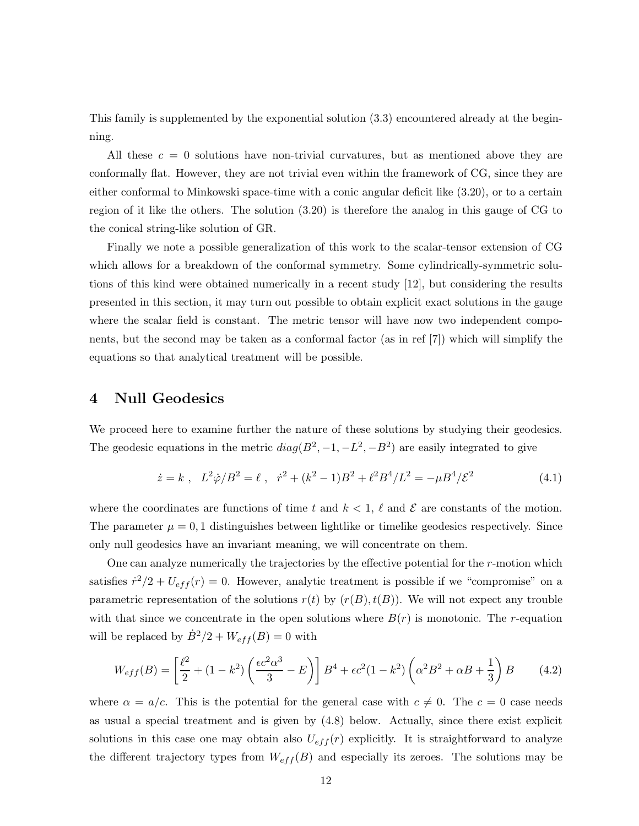This family is supplemented by the exponential solution (3.3) encountered already at the beginning.

All these  $c = 0$  solutions have non-trivial curvatures, but as mentioned above they are conformally flat. However, they are not trivial even within the framework of CG, since they are either conformal to Minkowski space-time with a conic angular deficit like (3.20), or to a certain region of it like the others. The solution (3.20) is therefore the analog in this gauge of CG to the conical string-like solution of GR.

Finally we note a possible generalization of this work to the scalar-tensor extension of CG which allows for a breakdown of the conformal symmetry. Some cylindrically-symmetric solutions of this kind were obtained numerically in a recent study [12], but considering the results presented in this section, it may turn out possible to obtain explicit exact solutions in the gauge where the scalar field is constant. The metric tensor will have now two independent components, but the second may be taken as a conformal factor (as in ref [7]) which will simplify the equations so that analytical treatment will be possible.

#### 4 Null Geodesics

We proceed here to examine further the nature of these solutions by studying their geodesics. The geodesic equations in the metric  $diag(B^2, -1, -L^2, -B^2)$  are easily integrated to give

$$
\dot{z} = k \ , \ L^2 \dot{\varphi} / B^2 = \ell \ , \ \dot{r}^2 + (k^2 - 1)B^2 + \ell^2 B^4 / L^2 = -\mu B^4 / \mathcal{E}^2 \tag{4.1}
$$

where the coordinates are functions of time t and  $k < 1$ ,  $\ell$  and  $\mathcal E$  are constants of the motion. The parameter  $\mu = 0, 1$  distinguishes between lightlike or timelike geodesics respectively. Since only null geodesics have an invariant meaning, we will concentrate on them.

One can analyze numerically the trajectories by the effective potential for the  $r$ -motion which satisfies  $\dot{r}^2/2 + U_{eff}(r) = 0$ . However, analytic treatment is possible if we "compromise" on a parametric representation of the solutions  $r(t)$  by  $(r(B), t(B))$ . We will not expect any trouble with that since we concentrate in the open solutions where  $B(r)$  is monotonic. The r-equation will be replaced by  $\dot{B}^2/2 + W_{eff}(B) = 0$  with

$$
W_{eff}(B) = \left[\frac{\ell^2}{2} + (1 - k^2) \left(\frac{\epsilon c^2 \alpha^3}{3} - E\right)\right] B^4 + \epsilon c^2 (1 - k^2) \left(\alpha^2 B^2 + \alpha B + \frac{1}{3}\right) B \tag{4.2}
$$

where  $\alpha = a/c$ . This is the potential for the general case with  $c \neq 0$ . The  $c = 0$  case needs as usual a special treatment and is given by (4.8) below. Actually, since there exist explicit solutions in this case one may obtain also  $U_{eff}(r)$  explicitly. It is straightforward to analyze the different trajectory types from  $W_{eff}(B)$  and especially its zeroes. The solutions may be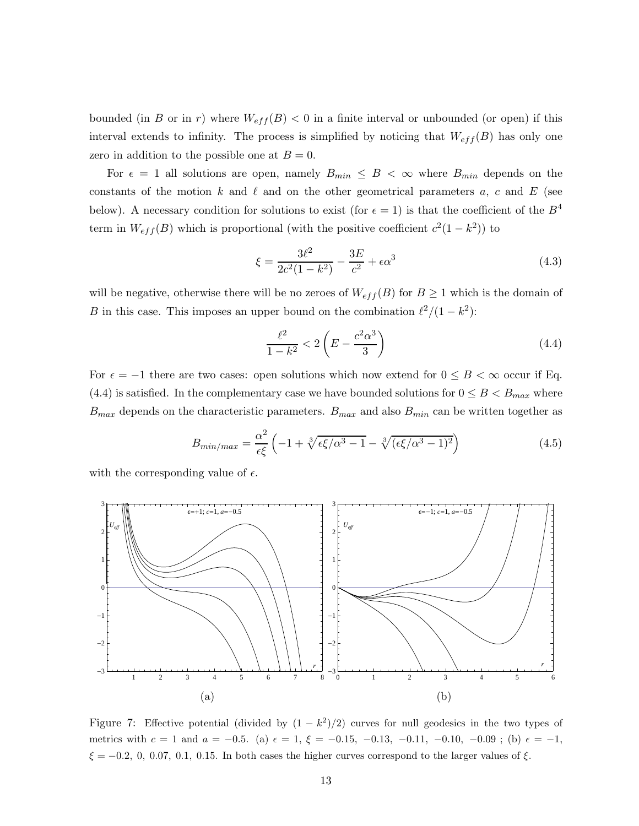bounded (in B or in r) where  $W_{eff}(B) < 0$  in a finite interval or unbounded (or open) if this interval extends to infinity. The process is simplified by noticing that  $W_{eff}(B)$  has only one zero in addition to the possible one at  $B = 0$ .

For  $\epsilon = 1$  all solutions are open, namely  $B_{min} \leq B \leq \infty$  where  $B_{min}$  depends on the constants of the motion k and  $\ell$  and on the other geometrical parameters a, c and E (see below). A necessary condition for solutions to exist (for  $\epsilon = 1$ ) is that the coefficient of the  $B^4$ term in  $W_{eff}(B)$  which is proportional (with the positive coefficient  $c^2(1-k^2)$ ) to

$$
\xi = \frac{3\ell^2}{2c^2(1-k^2)} - \frac{3E}{c^2} + \epsilon \alpha^3
$$
\n(4.3)

will be negative, otherwise there will be no zeroes of  $W_{eff}(B)$  for  $B \ge 1$  which is the domain of B in this case. This imposes an upper bound on the combination  $\ell^2/(1-k^2)$ :

$$
\frac{\ell^2}{1 - k^2} < 2\left(E - \frac{c^2 \alpha^3}{3}\right) \tag{4.4}
$$

For  $\epsilon = -1$  there are two cases: open solutions which now extend for  $0 \leq B < \infty$  occur if Eq. (4.4) is satisfied. In the complementary case we have bounded solutions for  $0 \leq B < B_{max}$  where  $B_{max}$  depends on the characteristic parameters.  $B_{max}$  and also  $B_{min}$  can be written together as

$$
B_{\min/\max} = \frac{\alpha^2}{\epsilon \xi} \left( -1 + \sqrt[3]{\epsilon \xi/\alpha^3 - 1} - \sqrt[3]{(\epsilon \xi/\alpha^3 - 1)^2} \right) \tag{4.5}
$$

with the corresponding value of  $\epsilon$ .



Figure 7: Effective potential (divided by  $(1 - k^2)/2$ ) curves for null geodesics in the two types of metrics with  $c = 1$  and  $a = -0.5$ . (a)  $\epsilon = 1$ ,  $\xi = -0.15$ ,  $-0.13$ ,  $-0.11$ ,  $-0.10$ ,  $-0.09$ ; (b)  $\epsilon = -1$ ,  $\xi = -0.2, 0, 0.07, 0.1, 0.15$ . In both cases the higher curves correspond to the larger values of  $\xi$ .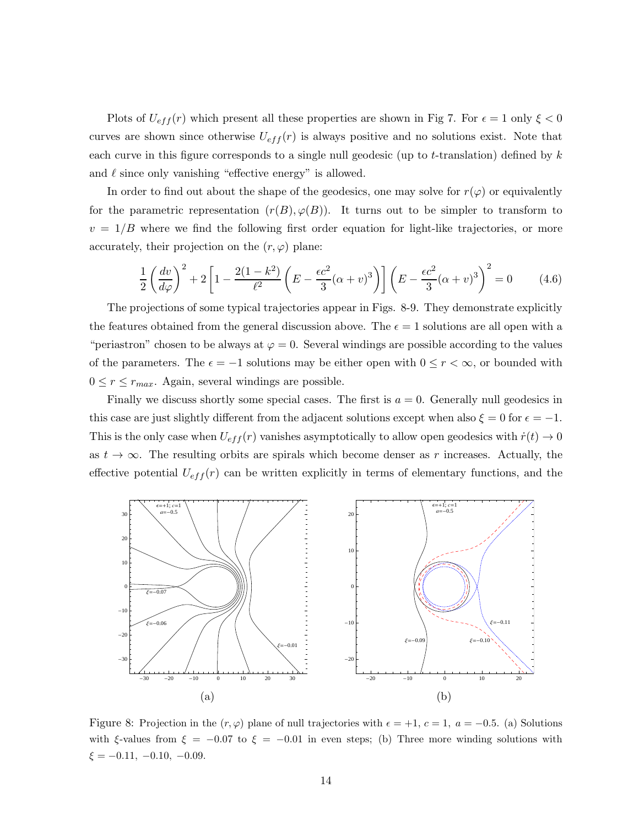Plots of  $U_{eff}(r)$  which present all these properties are shown in Fig 7. For  $\epsilon = 1$  only  $\xi < 0$ curves are shown since otherwise  $U_{eff}(r)$  is always positive and no solutions exist. Note that each curve in this figure corresponds to a single null geodesic (up to t-translation) defined by  $k$ and  $\ell$  since only vanishing "effective energy" is allowed.

In order to find out about the shape of the geodesics, one may solve for  $r(\varphi)$  or equivalently for the parametric representation  $(r(B), \varphi(B))$ . It turns out to be simpler to transform to  $v = 1/B$  where we find the following first order equation for light-like trajectories, or more accurately, their projection on the  $(r, \varphi)$  plane:

$$
\frac{1}{2}\left(\frac{dv}{d\varphi}\right)^2 + 2\left[1 - \frac{2(1-k^2)}{\ell^2}\left(E - \frac{\epsilon c^2}{3}(\alpha + v)^3\right)\right]\left(E - \frac{\epsilon c^2}{3}(\alpha + v)^3\right)^2 = 0\tag{4.6}
$$

The projections of some typical trajectories appear in Figs. 8-9. They demonstrate explicitly the features obtained from the general discussion above. The  $\epsilon = 1$  solutions are all open with a "periastron" chosen to be always at  $\varphi = 0$ . Several windings are possible according to the values of the parameters. The  $\epsilon = -1$  solutions may be either open with  $0 \le r < \infty$ , or bounded with  $0 \leq r \leq r_{max}$ . Again, several windings are possible.

Finally we discuss shortly some special cases. The first is  $a = 0$ . Generally null geodesics in this case are just slightly different from the adjacent solutions except when also  $\xi = 0$  for  $\epsilon = -1$ . This is the only case when  $U_{eff}(r)$  vanishes asymptotically to allow open geodesics with  $\dot{r}(t) \rightarrow 0$ as  $t \to \infty$ . The resulting orbits are spirals which become denser as r increases. Actually, the effective potential  $U_{eff}(r)$  can be written explicitly in terms of elementary functions, and the



Figure 8: Projection in the  $(r, \varphi)$  plane of null trajectories with  $\epsilon = +1, c = 1, a = -0.5$ . (a) Solutions with  $\xi$ -values from  $\xi = -0.07$  to  $\xi = -0.01$  in even steps; (b) Three more winding solutions with  $\xi = -0.11, -0.10, -0.09.$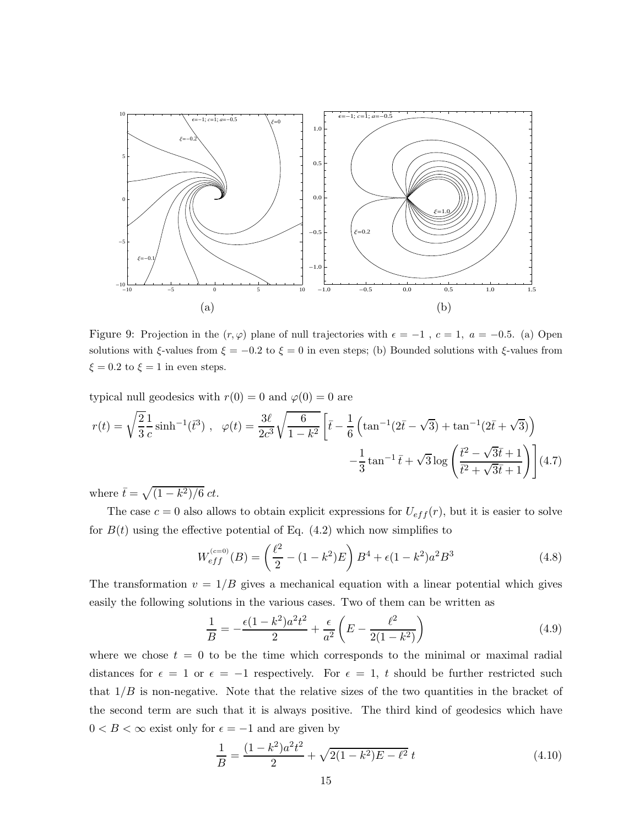

Figure 9: Projection in the  $(r, \varphi)$  plane of null trajectories with  $\epsilon = -1$ ,  $c = 1$ ,  $a = -0.5$ . (a) Open solutions with  $\xi$ -values from  $\xi = -0.2$  to  $\xi = 0$  in even steps; (b) Bounded solutions with  $\xi$ -values from  $\xi = 0.2$  to  $\xi = 1$  in even steps.

typical null geodesics with  $r(0) = 0$  and  $\varphi(0) = 0$  are

$$
r(t) = \sqrt{\frac{2}{3}} \frac{1}{c} \sinh^{-1}(\bar{t}^3) , \quad \varphi(t) = \frac{3\ell}{2c^3} \sqrt{\frac{6}{1-k^2}} \left[ \bar{t} - \frac{1}{6} \left( \tan^{-1}(2\bar{t} - \sqrt{3}) + \tan^{-1}(2\bar{t} + \sqrt{3}) \right) - \frac{1}{3} \tan^{-1}\bar{t} + \sqrt{3} \log \left( \frac{\bar{t}^2 - \sqrt{3}\bar{t} + 1}{\bar{t}^2 + \sqrt{3}\bar{t} + 1} \right) \right]
$$
(4.7)

where  $\bar{t} = \sqrt{(1 - k^2)/6} \, ct$ .

The case  $c = 0$  also allows to obtain explicit expressions for  $U_{eff}(r)$ , but it is easier to solve for  $B(t)$  using the effective potential of Eq. (4.2) which now simplifies to

$$
W_{eff}^{(c=0)}(B) = \left(\frac{\ell^2}{2} - (1 - k^2)E\right)B^4 + \epsilon(1 - k^2)a^2B^3\tag{4.8}
$$

The transformation  $v = 1/B$  gives a mechanical equation with a linear potential which gives easily the following solutions in the various cases. Two of them can be written as

$$
\frac{1}{B} = -\frac{\epsilon (1 - k^2) a^2 t^2}{2} + \frac{\epsilon}{a^2} \left( E - \frac{\ell^2}{2(1 - k^2)} \right)
$$
(4.9)

where we chose  $t = 0$  to be the time which corresponds to the minimal or maximal radial distances for  $\epsilon = 1$  or  $\epsilon = -1$  respectively. For  $\epsilon = 1$ , t should be further restricted such that  $1/B$  is non-negative. Note that the relative sizes of the two quantities in the bracket of the second term are such that it is always positive. The third kind of geodesics which have  $0 < B < \infty$  exist only for  $\epsilon = -1$  and are given by

$$
\frac{1}{B} = \frac{(1 - k^2)a^2t^2}{2} + \sqrt{2(1 - k^2)E - \ell^2} t \tag{4.10}
$$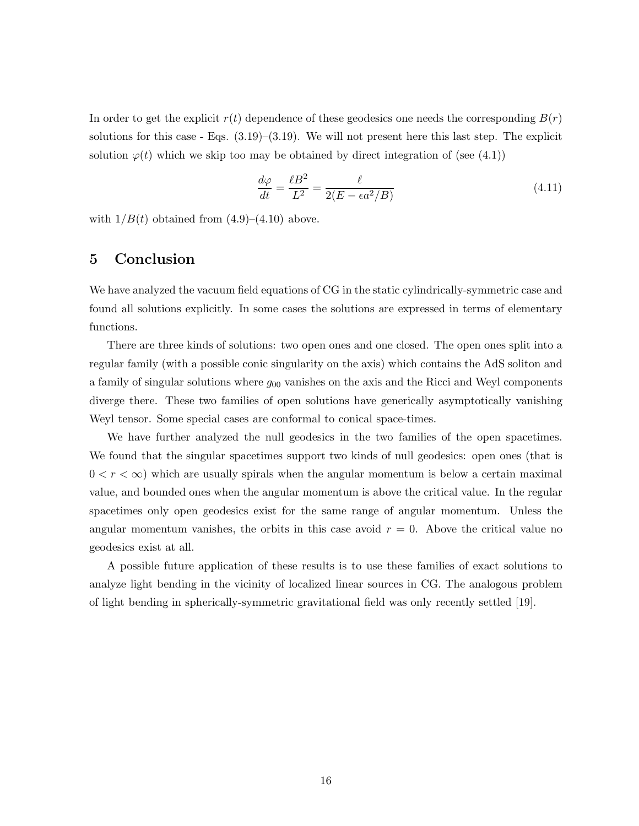In order to get the explicit  $r(t)$  dependence of these geodesics one needs the corresponding  $B(r)$ solutions for this case - Eqs.  $(3.19)$ – $(3.19)$ . We will not present here this last step. The explicit solution  $\varphi(t)$  which we skip too may be obtained by direct integration of (see (4.1))

$$
\frac{d\varphi}{dt} = \frac{\ell B^2}{L^2} = \frac{\ell}{2(E - \epsilon a^2 / B)}\tag{4.11}
$$

with  $1/B(t)$  obtained from  $(4.9)$ – $(4.10)$  above.

# 5 Conclusion

We have analyzed the vacuum field equations of CG in the static cylindrically-symmetric case and found all solutions explicitly. In some cases the solutions are expressed in terms of elementary functions.

There are three kinds of solutions: two open ones and one closed. The open ones split into a regular family (with a possible conic singularity on the axis) which contains the AdS soliton and a family of singular solutions where  $g_{00}$  vanishes on the axis and the Ricci and Weyl components diverge there. These two families of open solutions have generically asymptotically vanishing Weyl tensor. Some special cases are conformal to conical space-times.

We have further analyzed the null geodesics in the two families of the open spacetimes. We found that the singular spacetimes support two kinds of null geodesics: open ones (that is  $0 < r < \infty$ ) which are usually spirals when the angular momentum is below a certain maximal value, and bounded ones when the angular momentum is above the critical value. In the regular spacetimes only open geodesics exist for the same range of angular momentum. Unless the angular momentum vanishes, the orbits in this case avoid  $r = 0$ . Above the critical value no geodesics exist at all.

A possible future application of these results is to use these families of exact solutions to analyze light bending in the vicinity of localized linear sources in CG. The analogous problem of light bending in spherically-symmetric gravitational field was only recently settled [19].